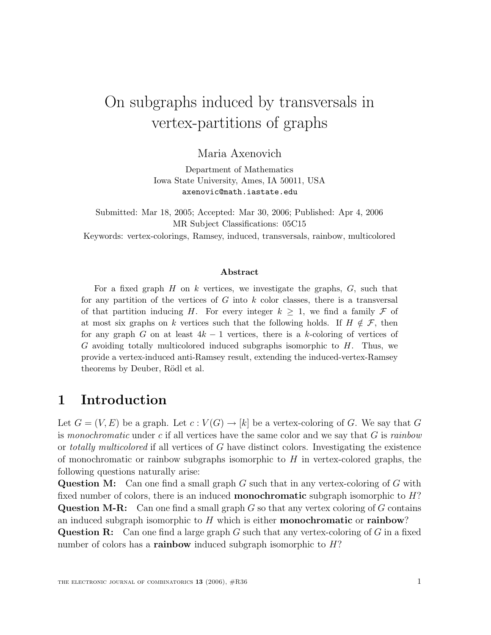# On subgraphs induced by transversals in vertex-partitions of graphs

Maria Axenovich

Department of Mathematics Iowa State University, Ames, IA 50011, USA axenovic@math.iastate.edu

Submitted: Mar 18, 2005; Accepted: Mar 30, 2006; Published: Apr 4, 2006 MR Subject Classifications: 05C15 Keywords: vertex-colorings, Ramsey, induced, transversals, rainbow, multicolored

#### **Abstract**

For a fixed graph  $H$  on  $k$  vertices, we investigate the graphs,  $G$ , such that for any partition of the vertices of  $G$  into  $k$  color classes, there is a transversal of that partition inducing H. For every integer  $k \geq 1$ , we find a family F of at most six graphs on k vertices such that the following holds. If  $H \notin \mathcal{F}$ , then for any graph G on at least  $4k - 1$  vertices, there is a k-coloring of vertices of  $G$  avoiding totally multicolored induced subgraphs isomorphic to  $H$ . Thus, we provide a vertex-induced anti-Ramsey result, extending the induced-vertex-Ramsey theorems by Deuber, Rödl et al.

## **1 Introduction**

Let  $G = (V, E)$  be a graph. Let  $c: V(G) \to [k]$  be a vertex-coloring of G. We say that G is monochromatic under c if all vertices have the same color and we say that  $G$  is rainbow or totally multicolored if all vertices of  $G$  have distinct colors. Investigating the existence of monochromatic or rainbow subgraphs isomorphic to  $H$  in vertex-colored graphs, the following questions naturally arise:

**Question M:** Can one find a small graph G such that in any vertex-coloring of G with fixed number of colors, there is an induced **monochromatic** subgraph isomorphic to H? **Question M-R:** Can one find a small graph G so that any vertex coloring of G contains an induced subgraph isomorphic to H which is either **monochromatic** or **rainbow**?

**Question R:** Can one find a large graph G such that any vertex-coloring of G in a fixed number of colors has a **rainbow** induced subgraph isomorphic to H?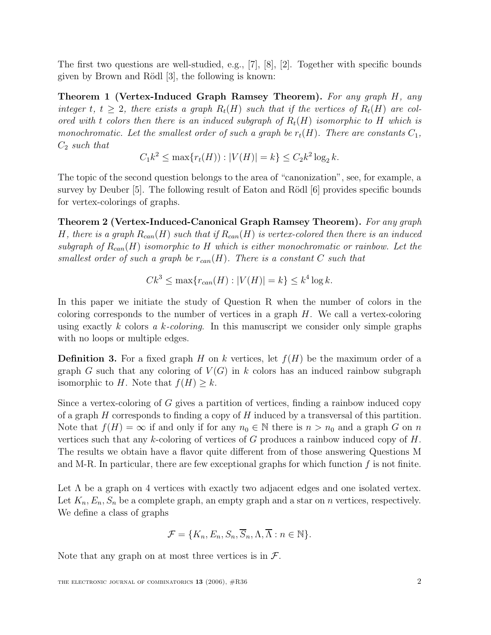The first two questions are well-studied, e.g., [7], [8], [2]. Together with specific bounds given by Brown and Rödl [3], the following is known:

**Theorem 1 (Vertex-Induced Graph Ramsey Theorem).** For any graph H, any integer t,  $t \geq 2$ , there exists a graph  $R_t(H)$  such that if the vertices of  $R_t(H)$  are colored with t colors then there is an induced subgraph of  $R_t(H)$  isomorphic to H which is monochromatic. Let the smallest order of such a graph be  $r_t(H)$ . There are constants  $C_1$ ,  $C_2$  such that

$$
C_1k^2 \le \max\{r_t(H)\} : |V(H)| = k\} \le C_2k^2 \log_2 k.
$$

The topic of the second question belongs to the area of "canonization", see, for example, a survey by Deuber  $[5]$ . The following result of Eaton and Rödl  $[6]$  provides specific bounds for vertex-colorings of graphs.

**Theorem 2 (Vertex-Induced-Canonical Graph Ramsey Theorem).** For any graph H, there is a graph  $R_{can}(H)$  such that if  $R_{can}(H)$  is vertex-colored then there is an induced subgraph of  $R_{can}(H)$  isomorphic to H which is either monochromatic or rainbow. Let the smallest order of such a graph be  $r_{can}(H)$ . There is a constant C such that

$$
Ck^3 \le \max\{r_{can}(H) : |V(H)| = k\} \le k^4 \log k.
$$

In this paper we initiate the study of Question R when the number of colors in the coloring corresponds to the number of vertices in a graph  $H$ . We call a vertex-coloring using exactly k colors a k-coloring. In this manuscript we consider only simple graphs with no loops or multiple edges.

**Definition 3.** For a fixed graph H on k vertices, let  $f(H)$  be the maximum order of a graph G such that any coloring of  $V(G)$  in k colors has an induced rainbow subgraph isomorphic to H. Note that  $f(H) \geq k$ .

Since a vertex-coloring of G gives a partition of vertices, finding a rainbow induced copy of a graph  $H$  corresponds to finding a copy of  $H$  induced by a transversal of this partition. Note that  $f(H) = \infty$  if and only if for any  $n_0 \in \mathbb{N}$  there is  $n > n_0$  and a graph G on n vertices such that any k-coloring of vertices of G produces a rainbow induced copy of  $H$ . The results we obtain have a flavor quite different from of those answering Questions M and M-R. In particular, there are few exceptional graphs for which function  $f$  is not finite.

Let  $\Lambda$  be a graph on 4 vertices with exactly two adjacent edges and one isolated vertex. Let  $K_n, E_n, S_n$  be a complete graph, an empty graph and a star on n vertices, respectively. We define a class of graphs

$$
\mathcal{F} = \{K_n, E_n, S_n, \overline{S}_n, \Lambda, \overline{\Lambda} : n \in \mathbb{N}\}.
$$

Note that any graph on at most three vertices is in  $\mathcal{F}$ .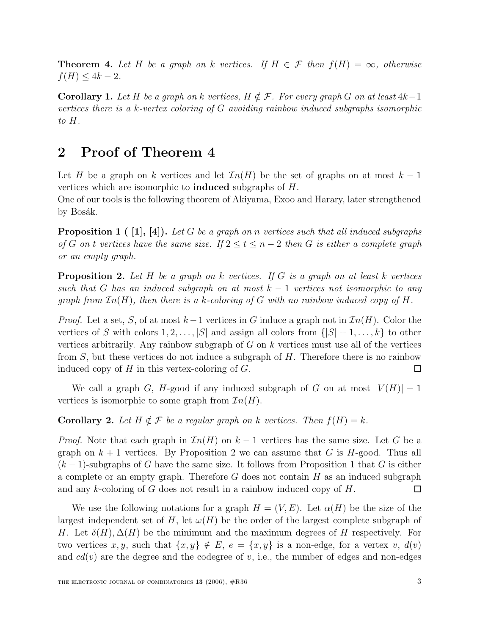**Theorem 4.** Let H be a graph on k vertices. If  $H \in \mathcal{F}$  then  $f(H) = \infty$ , otherwise  $f(H) \leq 4k - 2$ .

**Corollary 1.** Let H be a graph on k vertices,  $H \notin \mathcal{F}$ . For every graph G on at least  $4k-1$ vertices there is a k-vertex coloring of G avoiding rainbow induced subgraphs isomorphic to H.

# **2 Proof of Theorem 4**

Let H be a graph on k vertices and let  $\mathcal{I}n(H)$  be the set of graphs on at most  $k-1$ vertices which are isomorphic to **induced** subgraphs of H.

One of our tools is the following theorem of Akiyama, Exoo and Harary, later strengthened by Bosák.

**Proposition 1** ( [1], [4]). Let G be a graph on n vertices such that all induced subgraphs of G on t vertices have the same size. If  $2 \le t \le n-2$  then G is either a complete graph or an empty graph.

**Proposition 2.** Let H be a graph on k vertices. If G is a graph on at least k vertices such that G has an induced subgraph on at most  $k-1$  vertices not isomorphic to any graph from  $\mathcal{I}_n(H)$ , then there is a k-coloring of G with no rainbow induced copy of H.

*Proof.* Let a set, S, of at most  $k-1$  vertices in G induce a graph not in  $\mathcal{I}n(H)$ . Color the vertices of S with colors  $1, 2, \ldots, |S|$  and assign all colors from  $\{|S| + 1, \ldots, k\}$  to other vertices arbitrarily. Any rainbow subgraph of  $G$  on  $k$  vertices must use all of the vertices from  $S$ , but these vertices do not induce a subgraph of  $H$ . Therefore there is no rainbow induced copy of  $H$  in this vertex-coloring of  $G$ .  $\Box$ 

We call a graph G, H-good if any induced subgraph of G on at most  $|V(H)| - 1$ vertices is isomorphic to some graph from  $\mathcal{I}n(H)$ .

**Corollary 2.** Let  $H \notin \mathcal{F}$  be a regular graph on k vertices. Then  $f(H) = k$ .

*Proof.* Note that each graph in  $\mathcal{I}_n(H)$  on  $k-1$  vertices has the same size. Let G be a graph on  $k + 1$  vertices. By Proposition 2 we can assume that G is H-good. Thus all  $(k-1)$ -subgraphs of G have the same size. It follows from Proposition 1 that G is either a complete or an empty graph. Therefore  $G$  does not contain  $H$  as an induced subgraph and any k-coloring of G does not result in a rainbow induced copy of H.  $\Box$ 

We use the following notations for a graph  $H = (V, E)$ . Let  $\alpha(H)$  be the size of the largest independent set of H, let  $\omega(H)$  be the order of the largest complete subgraph of H. Let  $\delta(H), \Delta(H)$  be the minimum and the maximum degrees of H respectively. For two vertices x, y, such that  $\{x, y\} \notin E$ ,  $e = \{x, y\}$  is a non-edge, for a vertex v,  $d(v)$ and  $cd(v)$  are the degree and the codegree of v, i.e., the number of edges and non-edges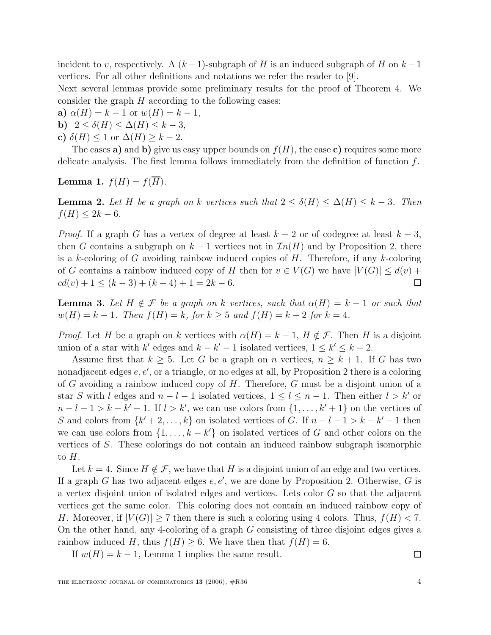incident to v, respectively. A  $(k-1)$ -subgraph of H is an induced subgraph of H on  $k-1$ vertices. For all other definitions and notations we refer the reader to [9].

Next several lemmas provide some preliminary results for the proof of Theorem 4. We consider the graph  $H$  according to the following cases:

- **a)**  $\alpha(H) = k 1$  or  $w(H) = k 1$ ,
- **b)**  $2 \le \delta(H) \le \Delta(H) \le k-3$ ,
- c)  $\delta(H)$  < 1 or  $\Delta(H)$  >  $k-2$ .

The cases **a**) and **b**) give us easy upper bounds on  $f(H)$ , the case **c**) requires some more delicate analysis. The first lemma follows immediately from the definition of function  $f$ .

**Lemma 1.** 
$$
f(H) = f(\overline{H}).
$$

**Lemma 2.** Let H be a graph on k vertices such that  $2 \leq \delta(H) \leq \Delta(H) \leq k - 3$ . Then  $f(H) \leq 2k - 6.$ 

*Proof.* If a graph G has a vertex of degree at least  $k-2$  or of codegree at least  $k-3$ , then G contains a subgraph on  $k-1$  vertices not in  $\mathcal{I}n(H)$  and by Proposition 2, there is a k-coloring of G avoiding rainbow induced copies of  $H$ . Therefore, if any k-coloring of G contains a rainbow induced copy of H then for  $v \in V(G)$  we have  $|V(G)| \leq d(v) + d(v)$  $cd(v) + 1 \leq (k-3) + (k-4) + 1 = 2k - 6.$ 囗

**Lemma 3.** Let  $H \notin \mathcal{F}$  be a graph on k vertices, such that  $\alpha(H) = k - 1$  or such that  $w(H) = k - 1$ . Then  $f(H) = k$ , for  $k \ge 5$  and  $f(H) = k + 2$  for  $k = 4$ .

*Proof.* Let H be a graph on k vertices with  $\alpha(H) = k - 1$ ,  $H \notin \mathcal{F}$ . Then H is a disjoint union of a star with k' edges and  $k - k' - 1$  isolated vertices,  $1 \leq k' \leq k - 2$ .

Assume first that  $k \geq 5$ . Let G be a graph on n vertices,  $n \geq k+1$ . If G has two nonadjacent edges  $e, e',$  or a triangle, or no edges at all, by Proposition 2 there is a coloring of G avoiding a rainbow induced copy of  $H$ . Therefore,  $G$  must be a disjoint union of a star S with l edges and  $n - l - 1$  isolated vertices,  $1 \le l \le n - 1$ . Then either  $l > k'$  or  $n - l - 1 > k - k' - 1$ . If  $l > k'$ , we can use colors from  $\{1, \ldots, k' + 1\}$  on the vertices of S and colors from  $\{k^{\prime} + 2,\ldots,k\}$  on isolated vertices of G. If  $n - l - 1 > k - k^{\prime} - 1$  then we can use colors from  $\{1, \ldots, k - k'\}$  on isolated vertices of G and other colors on the vertices of S. These colorings do not contain an induced rainbow subgraph isomorphic to  $H$ .

Let  $k = 4$ . Since  $H \notin \mathcal{F}$ , we have that H is a disjoint union of an edge and two vertices. If a graph G has two adjacent edges  $e, e'$ , we are done by Proposition 2. Otherwise, G is a vertex disjoint union of isolated edges and vertices. Lets color G so that the adjacent vertices get the same color. This coloring does not contain an induced rainbow copy of H. Moreover, if  $|V(G)| \ge 7$  then there is such a coloring using 4 colors. Thus,  $f(H) < 7$ . On the other hand, any 4-coloring of a graph G consisting of three disjoint edges gives a rainbow induced H, thus  $f(H) \geq 6$ . We have then that  $f(H) = 6$ .

If  $w(H) = k - 1$ , Lemma 1 implies the same result.

 $\Box$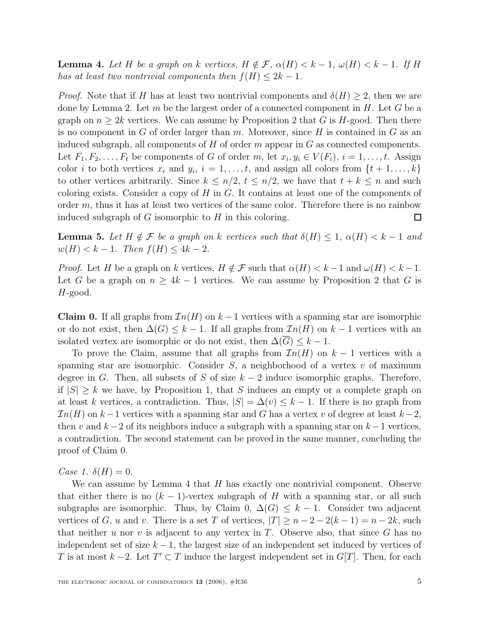**Lemma 4.** Let H be a graph on k vertices,  $H \notin \mathcal{F}$ ,  $\alpha(H) < k - 1$ ,  $\omega(H) < k - 1$ . If H has at least two nontrivial components then  $f(H) \leq 2k - 1$ .

*Proof.* Note that if H has at least two nontrivial components and  $\delta(H) \geq 2$ , then we are done by Lemma 2. Let m be the largest order of a connected component in  $H$ . Let G be a graph on  $n \geq 2k$  vertices. We can assume by Proposition 2 that G is H-good. Then there is no component in G of order larger than  $m$ . Moreover, since H is contained in G as an induced subgraph, all components of  $H$  of order  $m$  appear in  $G$  as connected components. Let  $F_1, F_2, \ldots, F_t$  be components of G of order m, let  $x_i, y_i \in V(F_i), i = 1, \ldots, t$ . Assign color i to both vertices  $x_i$  and  $y_i$ ,  $i = 1, \ldots, t$ , and assign all colors from  $\{t + 1, \ldots, k\}$ to other vertices arbitrarily. Since  $k \leq n/2$ ,  $t \leq n/2$ , we have that  $t + k \leq n$  and such coloring exists. Consider a copy of  $H$  in  $G$ . It contains at least one of the components of order  $m$ , thus it has at least two vertices of the same color. Therefore there is no rainbow induced subgraph of  $G$  isomorphic to  $H$  in this coloring.  $\Box$ 

**Lemma 5.** Let  $H \notin \mathcal{F}$  be a graph on k vertices such that  $\delta(H) \leq 1$ ,  $\alpha(H) < k - 1$  and  $w(H) < k - 1$ . Then  $f(H) \leq 4k - 2$ .

*Proof.* Let H be a graph on k vertices,  $H \notin \mathcal{F}$  such that  $\alpha(H) < k-1$  and  $\omega(H) < k-1$ . Let G be a graph on  $n \geq 4k - 1$  vertices. We can assume by Proposition 2 that G is H-good.

**Claim 0.** If all graphs from  $\mathcal{I}_n(H)$  on  $k-1$  vertices with a spanning star are isomorphic or do not exist, then  $\Delta(G) \leq k-1$ . If all graphs from  $\mathcal{I}n(H)$  on  $k-1$  vertices with an isolated vertex are isomorphic or do not exist, then  $\Delta(G) \leq k - 1$ .

To prove the Claim, assume that all graphs from  $\mathcal{I}_n(H)$  on  $k-1$  vertices with a spanning star are isomorphic. Consider  $S$ , a neighborhood of a vertex  $v$  of maximum degree in G. Then, all subsets of S of size  $k-2$  induce isomorphic graphs. Therefore, if  $|S| \geq k$  we have, by Proposition 1, that S induces an empty or a complete graph on at least k vertices, a contradiction. Thus,  $|S| = \Delta(v) \leq k - 1$ . If there is no graph from  $\mathcal{I}n(H)$  on k−1 vertices with a spanning star and G has a vertex v of degree at least  $k-2$ , then v and  $k-2$  of its neighbors induce a subgraph with a spanning star on  $k-1$  vertices, a contradiction. The second statement can be proved in the same manner, concluding the proof of Claim 0.

Case 1.  $\delta(H) = 0$ .

We can assume by Lemma 4 that  $H$  has exactly one nontrivial component. Observe that either there is no  $(k-1)$ -vertex subgraph of H with a spanning star, or all such subgraphs are isomorphic. Thus, by Claim 0,  $\Delta(G) \leq k - 1$ . Consider two adjacent vertices of G, u and v. There is a set T of vertices,  $|T| \ge n-2-2(k-1) = n-2k$ , such that neither  $u$  nor  $v$  is adjacent to any vertex in  $T$ . Observe also, that since  $G$  has no independent set of size  $k-1$ , the largest size of an independent set induced by vertices of T is at most  $k-2$ . Let  $T' \subset T$  induce the largest independent set in  $G[T]$ . Then, for each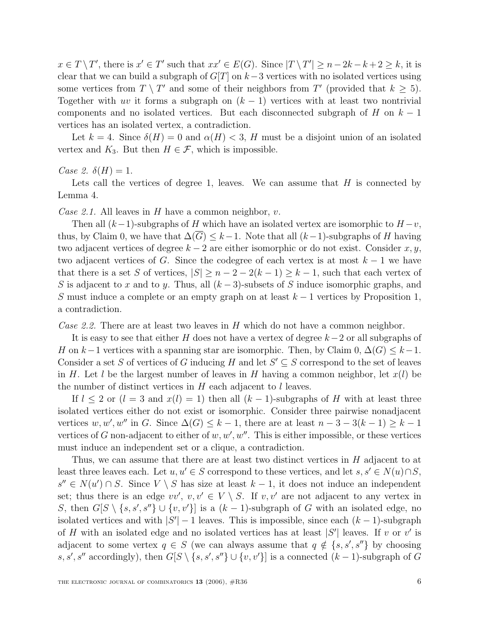$x \in T \setminus T'$ , there is  $x' \in T'$  such that  $xx' \in E(G)$ . Since  $|T \setminus T'| \ge n - 2k - k + 2 \ge k$ , it is clear that we can build a subgraph of  $G[T]$  on  $k-3$  vertices with no isolated vertices using some vertices from  $T \setminus T'$  and some of their neighbors from  $T'$  (provided that  $k \geq 5$ ). Together with uv it forms a subgraph on  $(k - 1)$  vertices with at least two nontrivial components and no isolated vertices. But each disconnected subgraph of H on  $k-1$ vertices has an isolated vertex, a contradiction.

Let  $k = 4$ . Since  $\delta(H) = 0$  and  $\alpha(H) < 3$ , H must be a disjoint union of an isolated vertex and  $K_3$ . But then  $H \in \mathcal{F}$ , which is impossible.

Case 2.  $\delta(H) = 1$ .

Lets call the vertices of degree 1, leaves. We can assume that  $H$  is connected by Lemma 4.

Case 2.1. All leaves in H have a common neighbor,  $v$ .

Then all  $(k-1)$ -subgraphs of H which have an isolated vertex are isomorphic to  $H - v$ , thus, by Claim 0, we have that  $\Delta(\overline{G}) \leq k-1$ . Note that all  $(k-1)$ -subgraphs of H having two adjacent vertices of degree  $k-2$  are either isomorphic or do not exist. Consider  $x, y$ , two adjacent vertices of G. Since the codegree of each vertex is at most  $k-1$  we have that there is a set S of vertices,  $|S| \ge n - 2 - 2(k - 1) \ge k - 1$ , such that each vertex of S is adjacent to x and to y. Thus, all  $(k-3)$ -subsets of S induce isomorphic graphs, and S must induce a complete or an empty graph on at least  $k-1$  vertices by Proposition 1, a contradiction.

Case 2.2. There are at least two leaves in  $H$  which do not have a common neighbor.

It is easy to see that either H does not have a vertex of degree  $k-2$  or all subgraphs of H on k−1 vertices with a spanning star are isomorphic. Then, by Claim  $0, \Delta(G) \leq k-1$ . Consider a set S of vertices of G inducing H and let  $S' \subseteq S$  correspond to the set of leaves in H. Let l be the largest number of leaves in H having a common neighbor, let  $x(l)$  be the number of distinct vertices in  $H$  each adjacent to  $l$  leaves.

If  $l \leq 2$  or  $(l = 3$  and  $x(l) = 1)$  then all  $(k - 1)$ -subgraphs of H with at least three isolated vertices either do not exist or isomorphic. Consider three pairwise nonadjacent vertices w, w', w'' in G. Since  $\Delta(G) \leq k-1$ , there are at least  $n-3-3(k-1) \geq k-1$ vertices of G non-adjacent to either of  $w, w', w''$ . This is either impossible, or these vertices must induce an independent set or a clique, a contradiction.

Thus, we can assume that there are at least two distinct vertices in H adjacent to at least three leaves each. Let  $u, u' \in S$  correspond to these vertices, and let  $s, s' \in N(u) \cap S$ ,  $s'' \in N(u') \cap S$ . Since  $V \setminus S$  has size at least  $k-1$ , it does not induce an independent set; thus there is an edge  $vv'$ ,  $v, v' \in V \setminus S$ . If  $v, v'$  are not adjacent to any vertex in S, then  $G[S \setminus \{s, s', s''\} \cup \{v, v'\}]$  is a  $(k-1)$ -subgraph of G with an isolated edge, no isolated vertices and with  $|S'|-1$  leaves. This is impossible, since each  $(k-1)$ -subgraph of H with an isolated edge and no isolated vertices has at least  $|S'|$  leaves. If v or v' is adjacent to some vertex  $q \in S$  (we can always assume that  $q \notin \{s, s', s''\}$  by choosing s, s', s'' accordingly), then  $G[S \setminus \{s, s', s''\} \cup \{v, v'\}]$  is a connected  $(k-1)$ -subgraph of G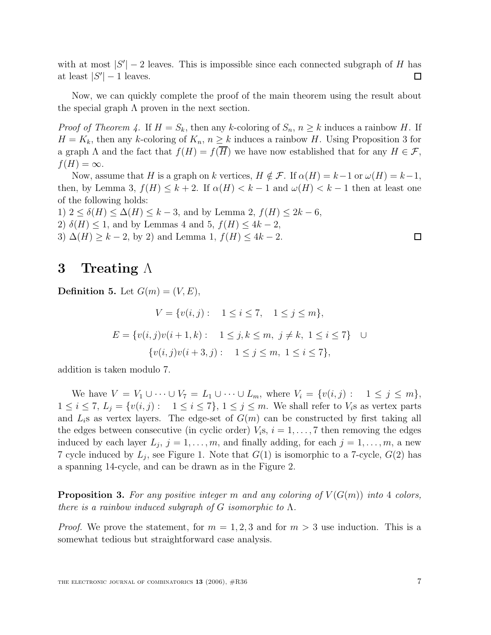with at most  $|S'|-2$  leaves. This is impossible since each connected subgraph of H has at least  $|S'| - 1$  leaves.  $\Box$ 

Now, we can quickly complete the proof of the main theorem using the result about the special graph  $\Lambda$  proven in the next section.

*Proof of Theorem 4.* If  $H = S_k$ , then any k-coloring of  $S_n$ ,  $n \geq k$  induces a rainbow H. If  $H = K_k$ , then any k-coloring of  $K_n$ ,  $n \geq k$  induces a rainbow H. Using Proposition 3 for a graph  $\Lambda$  and the fact that  $f(H) = f(\overline{H})$  we have now established that for any  $H \in \mathcal{F}$ ,  $f(H) = \infty$ .

Now, assume that H is a graph on k vertices,  $H \notin \mathcal{F}$ . If  $\alpha(H) = k-1$  or  $\omega(H) = k-1$ , then, by Lemma 3,  $f(H) \leq k+2$ . If  $\alpha(H) < k-1$  and  $\omega(H) < k-1$  then at least one of the following holds:

1)  $2 < \delta(H) < \Delta(H) < k - 3$ , and by Lemma 2,  $f(H) < 2k - 6$ , 2)  $\delta(H) \leq 1$ , and by Lemmas 4 and 5,  $f(H) \leq 4k - 2$ , 3)  $\Delta(H) \geq k - 2$ , by 2) and Lemma 1,  $f(H) \leq 4k - 2$ .

### **3 Treating** Λ

**Definition 5.** Let  $G(m)=(V,E)$ ,

$$
V = \{v(i,j): 1 \le i \le 7, 1 \le j \le m\},
$$
  
\n
$$
E = \{v(i,j)v(i+1,k): 1 \le j,k \le m, j \ne k, 1 \le i \le 7\} \cup
$$
  
\n
$$
\{v(i,j)v(i+3,j): 1 \le j \le m, 1 \le i \le 7\},
$$

addition is taken modulo 7.

We have  $V = V_1 \cup \cdots \cup V_7 = L_1 \cup \cdots \cup L_m$ , where  $V_i = \{v(i,j): 1 \leq j \leq m\},$  $1 \leq i \leq 7, L_j = \{v(i, j): 1 \leq i \leq 7\}, 1 \leq j \leq m$ . We shall refer to  $V_i$ s as vertex parts and  $L_i$ s as vertex layers. The edge-set of  $G(m)$  can be constructed by first taking all the edges between consecutive (in cyclic order)  $V_i$ s,  $i = 1, \ldots, 7$  then removing the edges induced by each layer  $L_j$ ,  $j = 1, \ldots, m$ , and finally adding, for each  $j = 1, \ldots, m$ , a new 7 cycle induced by  $L_j$ , see Figure 1. Note that  $G(1)$  is isomorphic to a 7-cycle,  $G(2)$  has a spanning 14-cycle, and can be drawn as in the Figure 2.

**Proposition 3.** For any positive integer m and any coloring of  $V(G(m))$  into 4 colors, there is a rainbow induced subgraph of G isomorphic to  $\Lambda$ .

*Proof.* We prove the statement, for  $m = 1, 2, 3$  and for  $m > 3$  use induction. This is a somewhat tedious but straightforward case analysis.

 $\Box$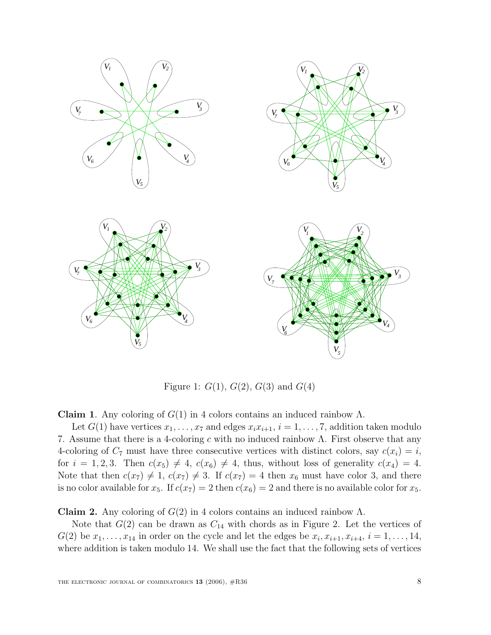

Figure 1:  $G(1)$ ,  $G(2)$ ,  $G(3)$  and  $G(4)$ 

**Claim 1.** Any coloring of  $G(1)$  in 4 colors contains an induced rainbow  $\Lambda$ .

Let  $G(1)$  have vertices  $x_1, \ldots, x_7$  and edges  $x_i x_{i+1}, i = 1, \ldots, 7$ , addition taken modulo 7. Assume that there is a 4-coloring c with no induced rainbow  $\Lambda$ . First observe that any 4-coloring of  $C_7$  must have three consecutive vertices with distinct colors, say  $c(x_i) = i$ , for  $i = 1, 2, 3$ . Then  $c(x_5) \neq 4$ ,  $c(x_6) \neq 4$ , thus, without loss of generality  $c(x_4) = 4$ . Note that then  $c(x_7) \neq 1$ ,  $c(x_7) \neq 3$ . If  $c(x_7) = 4$  then  $x_6$  must have color 3, and there is no color available for  $x_5$ . If  $c(x_7) = 2$  then  $c(x_6) = 2$  and there is no available color for  $x_5$ .

**Claim 2.** Any coloring of  $G(2)$  in 4 colors contains an induced rainbow  $\Lambda$ .

Note that  $G(2)$  can be drawn as  $C_{14}$  with chords as in Figure 2. Let the vertices of  $G(2)$  be  $x_1, \ldots, x_{14}$  in order on the cycle and let the edges be  $x_i, x_{i+1}, x_{i+4}, i = 1, \ldots, 14$ , where addition is taken modulo 14. We shall use the fact that the following sets of vertices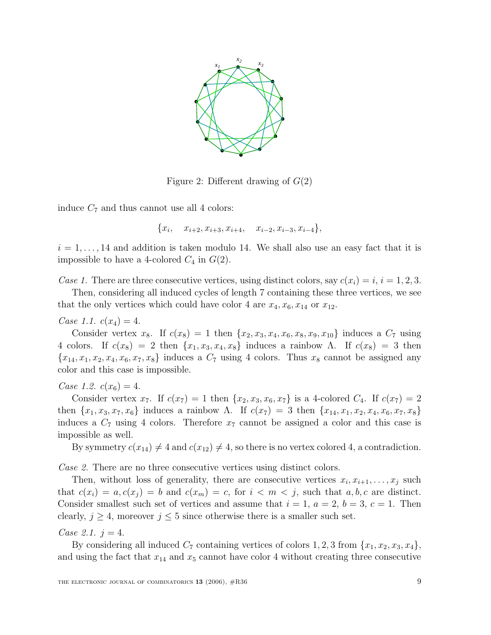

Figure 2: Different drawing of  $G(2)$ 

induce  $C_7$  and thus cannot use all 4 colors:

 ${x<sub>i</sub>, x<sub>i+2</sub>, x<sub>i+3</sub>, x<sub>i+4</sub>, x<sub>i-2</sub>, x<sub>i-3</sub>, x<sub>i-4</sub>},$ 

 $i = 1, \ldots, 14$  and addition is taken modulo 14. We shall also use an easy fact that it is impossible to have a 4-colored  $C_4$  in  $G(2)$ .

Case 1. There are three consecutive vertices, using distinct colors, say  $c(x_i) = i$ ,  $i = 1, 2, 3$ .

Then, considering all induced cycles of length 7 containing these three vertices, we see that the only vertices which could have color 4 are  $x_4, x_6, x_{14}$  or  $x_{12}$ .

Case 1.1.  $c(x_4) = 4$ .

Consider vertex  $x_8$ . If  $c(x_8) = 1$  then  $\{x_2, x_3, x_4, x_6, x_8, x_9, x_{10}\}$  induces a  $C_7$  using 4 colors. If  $c(x_8) = 2$  then  $\{x_1, x_3, x_4, x_8\}$  induces a rainbow Λ. If  $c(x_8) = 3$  then  ${x_{14}, x_1, x_2, x_4, x_6, x_7, x_8}$  induces a  $C_7$  using 4 colors. Thus  $x_8$  cannot be assigned any color and this case is impossible.

Case 1.2.  $c(x_6) = 4$ .

Consider vertex  $x_7$ . If  $c(x_7) = 1$  then  $\{x_2, x_3, x_6, x_7\}$  is a 4-colored  $C_4$ . If  $c(x_7)=2$ then  $\{x_1, x_3, x_7, x_6\}$  induces a rainbow  $\Lambda$ . If  $c(x_7) = 3$  then  $\{x_{14}, x_1, x_2, x_4, x_6, x_7, x_8\}$ induces a  $C_7$  using 4 colors. Therefore  $x_7$  cannot be assigned a color and this case is impossible as well.

By symmetry  $c(x_{14}) \neq 4$  and  $c(x_{12}) \neq 4$ , so there is no vertex colored 4, a contradiction.

Case 2. There are no three consecutive vertices using distinct colors.

Then, without loss of generality, there are consecutive vertices  $x_i, x_{i+1}, \ldots, x_j$  such that  $c(x_i) = a, c(x_j) = b$  and  $c(x_m) = c$ , for  $i < m < j$ , such that  $a, b, c$  are distinct. Consider smallest such set of vertices and assume that  $i = 1, a = 2, b = 3, c = 1$ . Then clearly,  $j \geq 4$ , moreover  $j \leq 5$  since otherwise there is a smaller such set.

Case 2.1.  $j = 4$ .

By considering all induced  $C_7$  containing vertices of colors 1, 2, 3 from  $\{x_1, x_2, x_3, x_4\}$ , and using the fact that  $x_{14}$  and  $x_5$  cannot have color 4 without creating three consecutive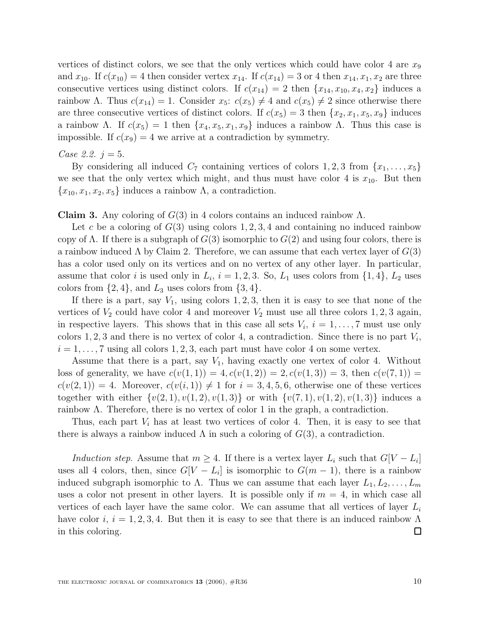vertices of distinct colors, we see that the only vertices which could have color 4 are  $x_9$ and  $x_{10}$ . If  $c(x_{10}) = 4$  then consider vertex  $x_{14}$ . If  $c(x_{14}) = 3$  or 4 then  $x_{14}, x_1, x_2$  are three consecutive vertices using distinct colors. If  $c(x_{14}) = 2$  then  $\{x_{14}, x_{10}, x_4, x_2\}$  induces a rainbow Λ. Thus  $c(x_{14}) = 1$ . Consider  $x_5$ :  $c(x_5) \neq 4$  and  $c(x_5) \neq 2$  since otherwise there are three consecutive vertices of distinct colors. If  $c(x_5) = 3$  then  $\{x_2, x_1, x_5, x_9\}$  induces a rainbow Λ. If  $c(x_5) = 1$  then  $\{x_4, x_5, x_1, x_9\}$  induces a rainbow Λ. Thus this case is impossible. If  $c(x_9) = 4$  we arrive at a contradiction by symmetry.

#### Case 2.2.  $j = 5$ .

By considering all induced  $C_7$  containing vertices of colors 1, 2, 3 from  $\{x_1, \ldots, x_5\}$ we see that the only vertex which might, and thus must have color 4 is  $x_{10}$ . But then  ${x_{10}, x_1, x_2, x_5}$  induces a rainbow  $\Lambda$ , a contradiction.

**Claim 3.** Any coloring of  $G(3)$  in 4 colors contains an induced rainbow  $\Lambda$ .

Let c be a coloring of  $G(3)$  using colors 1, 2, 3, 4 and containing no induced rainbow copy of  $\Lambda$ . If there is a subgraph of  $G(3)$  isomorphic to  $G(2)$  and using four colors, there is a rainbow induced  $\Lambda$  by Claim 2. Therefore, we can assume that each vertex layer of  $G(3)$ has a color used only on its vertices and on no vertex of any other layer. In particular, assume that color i is used only in  $L_i$ ,  $i = 1, 2, 3$ . So,  $L_1$  uses colors from  $\{1, 4\}$ ,  $L_2$  uses colors from  $\{2,4\}$ , and  $L_3$  uses colors from  $\{3,4\}$ .

If there is a part, say  $V_1$ , using colors 1, 2, 3, then it is easy to see that none of the vertices of  $V_2$  could have color 4 and moreover  $V_2$  must use all three colors 1, 2, 3 again, in respective layers. This shows that in this case all sets  $V_i$ ,  $i = 1, \ldots, 7$  must use only colors 1, 2, 3 and there is no vertex of color 4, a contradiction. Since there is no part  $V_i$ ,  $i = 1, \ldots, 7$  using all colors 1, 2, 3, each part must have color 4 on some vertex.

Assume that there is a part, say  $V_1$ , having exactly one vertex of color 4. Without loss of generality, we have  $c(v(1, 1)) = 4$ ,  $c(v(1, 2)) = 2$ ,  $c(v(1, 3)) = 3$ , then  $c(v(7, 1)) =$  $c(v(2, 1)) = 4$ . Moreover,  $c(v(i, 1)) \neq 1$  for  $i = 3, 4, 5, 6$ , otherwise one of these vertices together with either  $\{v(2, 1), v(1, 2), v(1, 3)\}$  or with  $\{v(7, 1), v(1, 2), v(1, 3)\}$  induces a rainbow  $\Lambda$ . Therefore, there is no vertex of color 1 in the graph, a contradiction.

Thus, each part  $V_i$  has at least two vertices of color 4. Then, it is easy to see that there is always a rainbow induced  $\Lambda$  in such a coloring of  $G(3)$ , a contradiction.

Induction step. Assume that  $m \geq 4$ . If there is a vertex layer  $L_i$  such that  $G[V - L_i]$ uses all 4 colors, then, since  $G[V - L_i]$  is isomorphic to  $G(m - 1)$ , there is a rainbow induced subgraph isomorphic to  $\Lambda$ . Thus we can assume that each layer  $L_1, L_2, \ldots, L_m$ uses a color not present in other layers. It is possible only if  $m = 4$ , in which case all vertices of each layer have the same color. We can assume that all vertices of layer  $L_i$ have color i,  $i = 1, 2, 3, 4$ . But then it is easy to see that there is an induced rainbow  $\Lambda$  $\Box$ in this coloring.